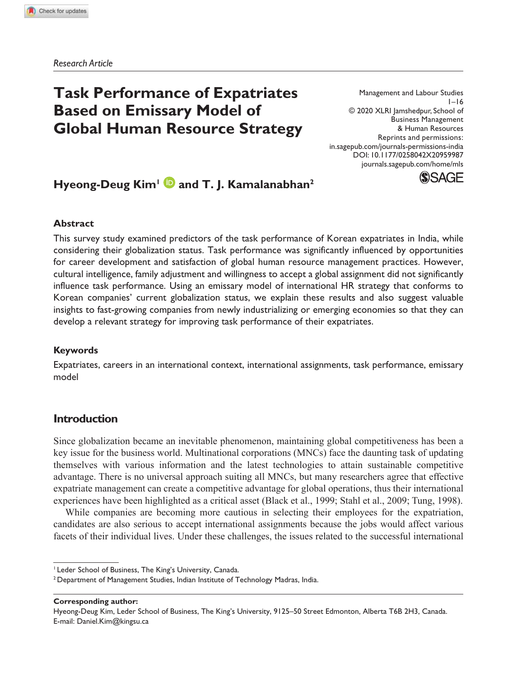*Research Article*

# **Task Performance of Expatriates Based on Emissary Model of Global Human Resource Strategy**

Management and Labour Studies  $1 - 16$ © 2020 XLRI Jamshedpur, School of Business Management & Human Resources Reprints and permissions: in.sagepub.com/journals-permissions-india DOI: 10.1177/0258042X20959987 journals.sagepub.com/home/mls



# **Hyeong-Deug Kim<sup>1</sup> and T. J. Kamalanabhan<sup>2</sup>**

#### **Abstract**

This survey study examined predictors of the task performance of Korean expatriates in India, while considering their globalization status. Task performance was significantly influenced by opportunities for career development and satisfaction of global human resource management practices. However, cultural intelligence, family adjustment and willingness to accept a global assignment did not significantly influence task performance. Using an emissary model of international HR strategy that conforms to Korean companies' current globalization status, we explain these results and also suggest valuable insights to fast-growing companies from newly industrializing or emerging economies so that they can develop a relevant strategy for improving task performance of their expatriates.

### **Keywords**

Expatriates, careers in an international context, international assignments, task performance, emissary model

# **Introduction**

Since globalization became an inevitable phenomenon, maintaining global competitiveness has been a key issue for the business world. Multinational corporations (MNCs) face the daunting task of updating themselves with various information and the latest technologies to attain sustainable competitive advantage. There is no universal approach suiting all MNCs, but many researchers agree that effective expatriate management can create a competitive advantage for global operations, thus their international experiences have been highlighted as a critical asset (Black et al., 1999; Stahl et al., 2009; Tung, 1998).

While companies are becoming more cautious in selecting their employees for the expatriation, candidates are also serious to accept international assignments because the jobs would affect various facets of their individual lives. Under these challenges, the issues related to the successful international

**Corresponding author:**

Hyeong-Deug Kim, Leder School of Business, The King's University, 9125–50 Street Edmonton, Alberta T6B 2H3, Canada. E-mail: Daniel.Kim@kingsu.ca

<sup>&</sup>lt;sup>1</sup> Leder School of Business, The King's University, Canada.

<sup>&</sup>lt;sup>2</sup> Department of Management Studies, Indian Institute of Technology Madras, India.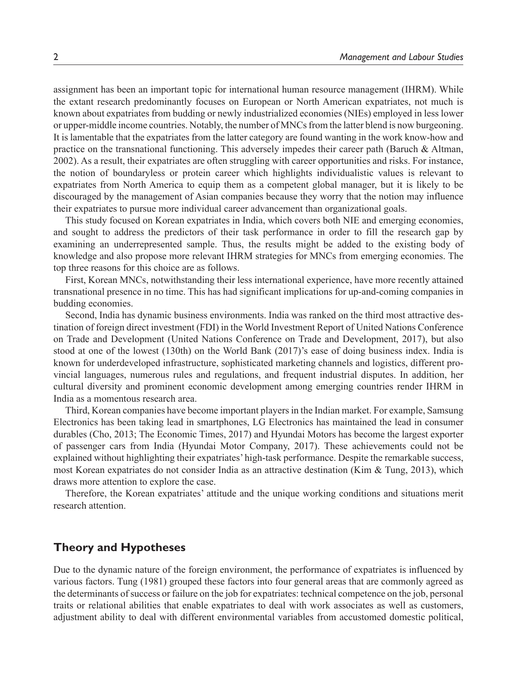assignment has been an important topic for international human resource management (IHRM). While the extant research predominantly focuses on European or North American expatriates, not much is known about expatriates from budding or newly industrialized economies (NIEs) employed in less lower or upper-middle income countries. Notably, the number of MNCs from the latter blend is now burgeoning. It is lamentable that the expatriates from the latter category are found wanting in the work know-how and practice on the transnational functioning. This adversely impedes their career path (Baruch & Altman, 2002). As a result, their expatriates are often struggling with career opportunities and risks. For instance, the notion of boundaryless or protein career which highlights individualistic values is relevant to expatriates from North America to equip them as a competent global manager, but it is likely to be discouraged by the management of Asian companies because they worry that the notion may influence their expatriates to pursue more individual career advancement than organizational goals.

This study focused on Korean expatriates in India, which covers both NIE and emerging economies, and sought to address the predictors of their task performance in order to fill the research gap by examining an underrepresented sample. Thus, the results might be added to the existing body of knowledge and also propose more relevant IHRM strategies for MNCs from emerging economies. The top three reasons for this choice are as follows.

First, Korean MNCs, notwithstanding their less international experience, have more recently attained transnational presence in no time. This has had significant implications for up-and-coming companies in budding economies.

Second, India has dynamic business environments. India was ranked on the third most attractive destination of foreign direct investment (FDI) in the World Investment Report of United Nations Conference on Trade and Development (United Nations Conference on Trade and Development, 2017), but also stood at one of the lowest (130th) on the World Bank (2017)'s ease of doing business index. India is known for underdeveloped infrastructure, sophisticated marketing channels and logistics, different provincial languages, numerous rules and regulations, and frequent industrial disputes. In addition, her cultural diversity and prominent economic development among emerging countries render IHRM in India as a momentous research area.

Third, Korean companies have become important players in the Indian market. For example, Samsung Electronics has been taking lead in smartphones, LG Electronics has maintained the lead in consumer durables (Cho, 2013; The Economic Times, 2017) and Hyundai Motors has become the largest exporter of passenger cars from India (Hyundai Motor Company, 2017). These achievements could not be explained without highlighting their expatriates' high-task performance. Despite the remarkable success, most Korean expatriates do not consider India as an attractive destination (Kim & Tung, 2013), which draws more attention to explore the case.

Therefore, the Korean expatriates' attitude and the unique working conditions and situations merit research attention.

# **Theory and Hypotheses**

Due to the dynamic nature of the foreign environment, the performance of expatriates is influenced by various factors. Tung (1981) grouped these factors into four general areas that are commonly agreed as the determinants of success or failure on the job for expatriates: technical competence on the job, personal traits or relational abilities that enable expatriates to deal with work associates as well as customers, adjustment ability to deal with different environmental variables from accustomed domestic political,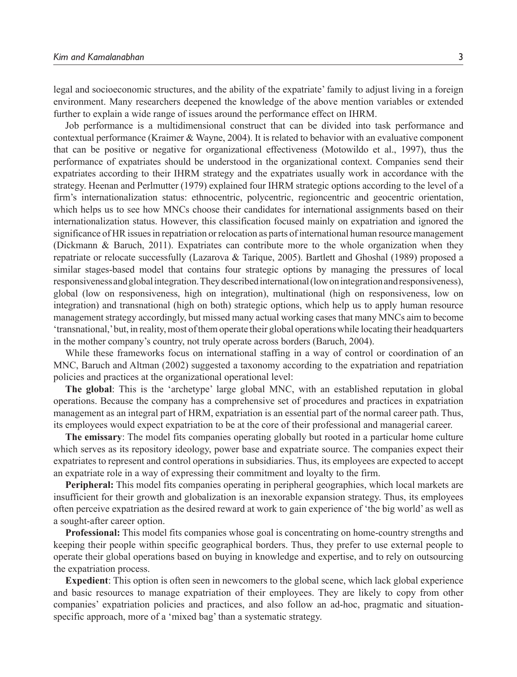legal and socioeconomic structures, and the ability of the expatriate' family to adjust living in a foreign environment. Many researchers deepened the knowledge of the above mention variables or extended further to explain a wide range of issues around the performance effect on IHRM.

Job performance is a multidimensional construct that can be divided into task performance and contextual performance (Kraimer & Wayne, 2004). It is related to behavior with an evaluative component that can be positive or negative for organizational effectiveness (Motowildo et al., 1997), thus the performance of expatriates should be understood in the organizational context. Companies send their expatriates according to their IHRM strategy and the expatriates usually work in accordance with the strategy. Heenan and Perlmutter (1979) explained four IHRM strategic options according to the level of a firm's internationalization status: ethnocentric, polycentric, regioncentric and geocentric orientation, which helps us to see how MNCs choose their candidates for international assignments based on their internationalization status. However, this classification focused mainly on expatriation and ignored the significance of HR issues in repatriation or relocation as parts of international human resource management (Dickmann & Baruch, 2011). Expatriates can contribute more to the whole organization when they repatriate or relocate successfully (Lazarova & Tarique, 2005). Bartlett and Ghoshal (1989) proposed a similar stages-based model that contains four strategic options by managing the pressures of local responsiveness and global integration. They described international (low on integration and responsiveness), global (low on responsiveness, high on integration), multinational (high on responsiveness, low on integration) and transnational (high on both) strategic options, which help us to apply human resource management strategy accordingly, but missed many actual working cases that many MNCs aim to become 'transnational,' but, in reality, most of them operate their global operations while locating their headquarters in the mother company's country, not truly operate across borders (Baruch, 2004).

While these frameworks focus on international staffing in a way of control or coordination of an MNC, Baruch and Altman (2002) suggested a taxonomy according to the expatriation and repatriation policies and practices at the organizational operational level:

**The global**: This is the 'archetype' large global MNC, with an established reputation in global operations. Because the company has a comprehensive set of procedures and practices in expatriation management as an integral part of HRM, expatriation is an essential part of the normal career path. Thus, its employees would expect expatriation to be at the core of their professional and managerial career.

**The emissary**: The model fits companies operating globally but rooted in a particular home culture which serves as its repository ideology, power base and expatriate source. The companies expect their expatriates to represent and control operations in subsidiaries. Thus, its employees are expected to accept an expatriate role in a way of expressing their commitment and loyalty to the firm.

**Peripheral:** This model fits companies operating in peripheral geographies, which local markets are insufficient for their growth and globalization is an inexorable expansion strategy. Thus, its employees often perceive expatriation as the desired reward at work to gain experience of 'the big world' as well as a sought-after career option.

**Professional:** This model fits companies whose goal is concentrating on home-country strengths and keeping their people within specific geographical borders. Thus, they prefer to use external people to operate their global operations based on buying in knowledge and expertise, and to rely on outsourcing the expatriation process.

**Expedient**: This option is often seen in newcomers to the global scene, which lack global experience and basic resources to manage expatriation of their employees. They are likely to copy from other companies' expatriation policies and practices, and also follow an ad-hoc, pragmatic and situationspecific approach, more of a 'mixed bag' than a systematic strategy.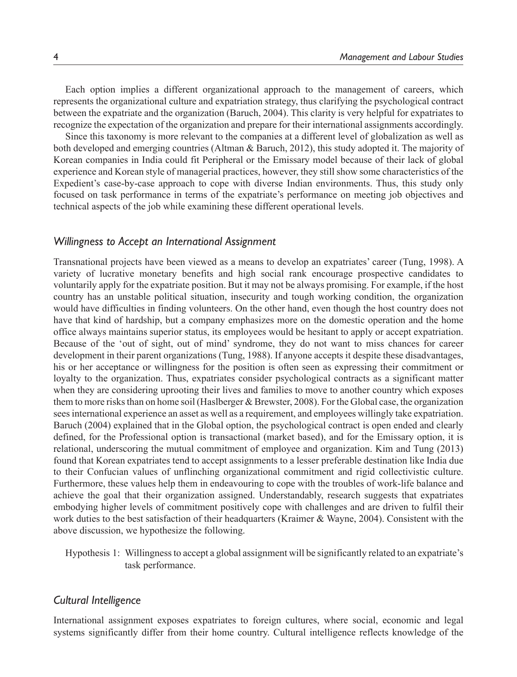Each option implies a different organizational approach to the management of careers, which represents the organizational culture and expatriation strategy, thus clarifying the psychological contract between the expatriate and the organization (Baruch, 2004). This clarity is very helpful for expatriates to recognize the expectation of the organization and prepare for their international assignments accordingly.

Since this taxonomy is more relevant to the companies at a different level of globalization as well as both developed and emerging countries (Altman & Baruch, 2012), this study adopted it. The majority of Korean companies in India could fit Peripheral or the Emissary model because of their lack of global experience and Korean style of managerial practices, however, they still show some characteristics of the Expedient's case-by-case approach to cope with diverse Indian environments. Thus, this study only focused on task performance in terms of the expatriate's performance on meeting job objectives and technical aspects of the job while examining these different operational levels.

### *Willingness to Accept an International Assignment*

Transnational projects have been viewed as a means to develop an expatriates' career (Tung, 1998). A variety of lucrative monetary benefits and high social rank encourage prospective candidates to voluntarily apply for the expatriate position. But it may not be always promising. For example, if the host country has an unstable political situation, insecurity and tough working condition, the organization would have difficulties in finding volunteers. On the other hand, even though the host country does not have that kind of hardship, but a company emphasizes more on the domestic operation and the home office always maintains superior status, its employees would be hesitant to apply or accept expatriation. Because of the 'out of sight, out of mind' syndrome, they do not want to miss chances for career development in their parent organizations (Tung, 1988). If anyone accepts it despite these disadvantages, his or her acceptance or willingness for the position is often seen as expressing their commitment or loyalty to the organization. Thus, expatriates consider psychological contracts as a significant matter when they are considering uprooting their lives and families to move to another country which exposes them to more risks than on home soil (Haslberger & Brewster, 2008). For the Global case, the organization sees international experience an asset as well as a requirement, and employees willingly take expatriation. Baruch (2004) explained that in the Global option, the psychological contract is open ended and clearly defined, for the Professional option is transactional (market based), and for the Emissary option, it is relational, underscoring the mutual commitment of employee and organization. Kim and Tung (2013) found that Korean expatriates tend to accept assignments to a lesser preferable destination like India due to their Confucian values of unflinching organizational commitment and rigid collectivistic culture. Furthermore, these values help them in endeavouring to cope with the troubles of work-life balance and achieve the goal that their organization assigned. Understandably, research suggests that expatriates embodying higher levels of commitment positively cope with challenges and are driven to fulfil their work duties to the best satisfaction of their headquarters (Kraimer & Wayne, 2004). Consistent with the above discussion, we hypothesize the following.

Hypothesis 1: Willingness to accept a global assignment will be significantly related to an expatriate's task performance.

# *Cultural Intelligence*

International assignment exposes expatriates to foreign cultures, where social, economic and legal systems significantly differ from their home country. Cultural intelligence reflects knowledge of the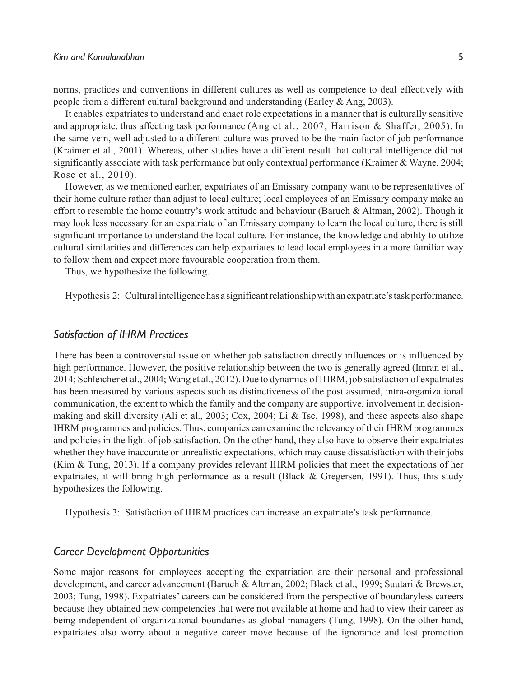norms, practices and conventions in different cultures as well as competence to deal effectively with people from a different cultural background and understanding (Earley & Ang, 2003).

It enables expatriates to understand and enact role expectations in a manner that is culturally sensitive and appropriate, thus affecting task performance (Ang et al., 2007; Harrison & Shaffer, 2005). In the same vein, well adjusted to a different culture was proved to be the main factor of job performance (Kraimer et al., 2001). Whereas, other studies have a different result that cultural intelligence did not significantly associate with task performance but only contextual performance (Kraimer & Wayne, 2004; Rose et al., 2010).

However, as we mentioned earlier, expatriates of an Emissary company want to be representatives of their home culture rather than adjust to local culture; local employees of an Emissary company make an effort to resemble the home country's work attitude and behaviour (Baruch & Altman, 2002). Though it may look less necessary for an expatriate of an Emissary company to learn the local culture, there is still significant importance to understand the local culture. For instance, the knowledge and ability to utilize cultural similarities and differences can help expatriates to lead local employees in a more familiar way to follow them and expect more favourable cooperation from them.

Thus, we hypothesize the following.

Hypothesis 2: Cultural intelligence has a significant relationship with an expatriate's task performance.

### *Satisfaction of IHRM Practices*

There has been a controversial issue on whether job satisfaction directly influences or is influenced by high performance. However, the positive relationship between the two is generally agreed (Imran et al., 2014; Schleicher et al., 2004; Wang et al., 2012). Due to dynamics of IHRM, job satisfaction of expatriates has been measured by various aspects such as distinctiveness of the post assumed, intra-organizational communication, the extent to which the family and the company are supportive, involvement in decisionmaking and skill diversity (Ali et al., 2003; Cox, 2004; Li & Tse, 1998), and these aspects also shape IHRM programmes and policies. Thus, companies can examine the relevancy of their IHRM programmes and policies in the light of job satisfaction. On the other hand, they also have to observe their expatriates whether they have inaccurate or unrealistic expectations, which may cause dissatisfaction with their jobs (Kim & Tung, 2013). If a company provides relevant IHRM policies that meet the expectations of her expatriates, it will bring high performance as a result (Black  $\&$  Gregersen, 1991). Thus, this study hypothesizes the following.

Hypothesis 3: Satisfaction of IHRM practices can increase an expatriate's task performance.

## *Career Development Opportunities*

Some major reasons for employees accepting the expatriation are their personal and professional development, and career advancement (Baruch & Altman, 2002; Black et al., 1999; Suutari & Brewster, 2003; Tung, 1998). Expatriates' careers can be considered from the perspective of boundaryless careers because they obtained new competencies that were not available at home and had to view their career as being independent of organizational boundaries as global managers (Tung, 1998). On the other hand, expatriates also worry about a negative career move because of the ignorance and lost promotion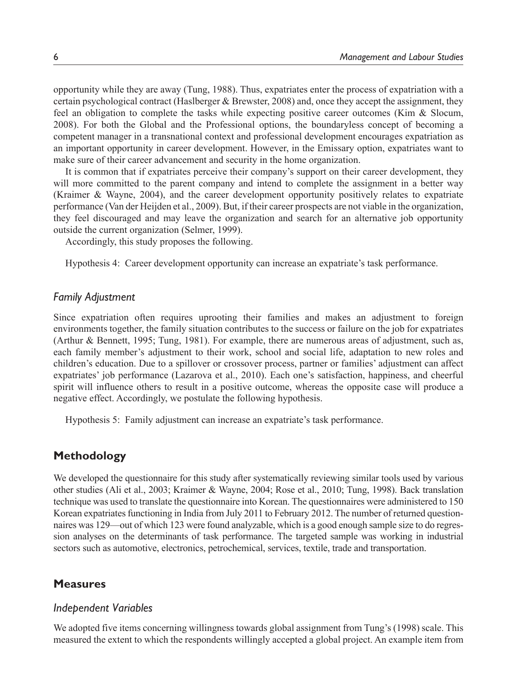opportunity while they are away (Tung, 1988). Thus, expatriates enter the process of expatriation with a certain psychological contract (Haslberger & Brewster, 2008) and, once they accept the assignment, they feel an obligation to complete the tasks while expecting positive career outcomes (Kim & Slocum, 2008). For both the Global and the Professional options, the boundaryless concept of becoming a competent manager in a transnational context and professional development encourages expatriation as an important opportunity in career development. However, in the Emissary option, expatriates want to make sure of their career advancement and security in the home organization.

It is common that if expatriates perceive their company's support on their career development, they will more committed to the parent company and intend to complete the assignment in a better way (Kraimer & Wayne, 2004), and the career development opportunity positively relates to expatriate performance (Van der Heijden et al., 2009). But, if their career prospects are not viable in the organization, they feel discouraged and may leave the organization and search for an alternative job opportunity outside the current organization (Selmer, 1999).

Accordingly, this study proposes the following.

Hypothesis 4: Career development opportunity can increase an expatriate's task performance.

# *Family Adjustment*

Since expatriation often requires uprooting their families and makes an adjustment to foreign environments together, the family situation contributes to the success or failure on the job for expatriates (Arthur & Bennett, 1995; Tung, 1981). For example, there are numerous areas of adjustment, such as, each family member's adjustment to their work, school and social life, adaptation to new roles and children's education. Due to a spillover or crossover process, partner or families' adjustment can affect expatriates' job performance (Lazarova et al., 2010). Each one's satisfaction, happiness, and cheerful spirit will influence others to result in a positive outcome, whereas the opposite case will produce a negative effect. Accordingly, we postulate the following hypothesis.

Hypothesis 5: Family adjustment can increase an expatriate's task performance.

# **Methodology**

We developed the questionnaire for this study after systematically reviewing similar tools used by various other studies (Ali et al., 2003; Kraimer & Wayne, 2004; Rose et al., 2010; Tung, 1998). Back translation technique was used to translate the questionnaire into Korean. The questionnaires were administered to 150 Korean expatriates functioning in India from July 2011 to February 2012. The number of returned questionnaires was 129—out of which 123 were found analyzable, which is a good enough sample size to do regression analyses on the determinants of task performance. The targeted sample was working in industrial sectors such as automotive, electronics, petrochemical, services, textile, trade and transportation.

# **Measures**

# *Independent Variables*

We adopted five items concerning willingness towards global assignment from Tung's (1998) scale. This measured the extent to which the respondents willingly accepted a global project. An example item from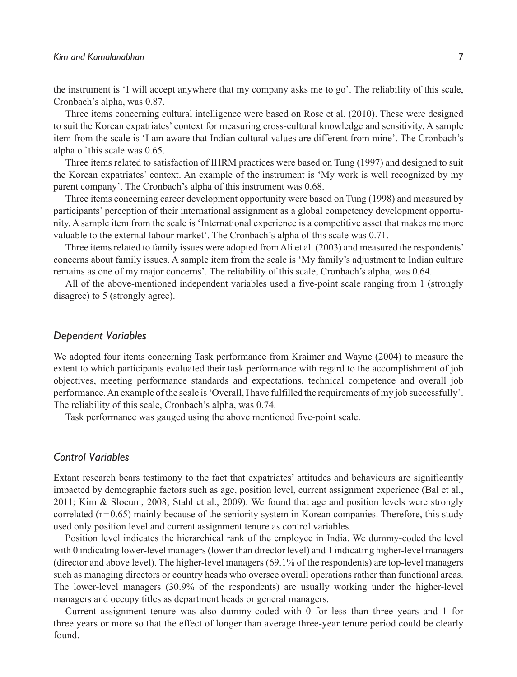the instrument is 'I will accept anywhere that my company asks me to go'. The reliability of this scale, Cronbach's alpha, was 0.87.

Three items concerning cultural intelligence were based on Rose et al. (2010). These were designed to suit the Korean expatriates' context for measuring cross-cultural knowledge and sensitivity. A sample item from the scale is 'I am aware that Indian cultural values are different from mine'. The Cronbach's alpha of this scale was 0.65.

Three items related to satisfaction of IHRM practices were based on Tung (1997) and designed to suit the Korean expatriates' context. An example of the instrument is 'My work is well recognized by my parent company'. The Cronbach's alpha of this instrument was 0.68.

Three items concerning career development opportunity were based on Tung (1998) and measured by participants' perception of their international assignment as a global competency development opportunity. A sample item from the scale is 'International experience is a competitive asset that makes me more valuable to the external labour market'. The Cronbach's alpha of this scale was 0.71.

Three items related to family issues were adopted from Ali et al. (2003) and measured the respondents' concerns about family issues. A sample item from the scale is 'My family's adjustment to Indian culture remains as one of my major concerns'. The reliability of this scale, Cronbach's alpha, was 0.64.

All of the above-mentioned independent variables used a five-point scale ranging from 1 (strongly disagree) to 5 (strongly agree).

#### *Dependent Variables*

We adopted four items concerning Task performance from Kraimer and Wayne (2004) to measure the extent to which participants evaluated their task performance with regard to the accomplishment of job objectives, meeting performance standards and expectations, technical competence and overall job performance. An example of the scale is 'Overall, I have fulfilled the requirements of my job successfully'. The reliability of this scale, Cronbach's alpha, was 0.74.

Task performance was gauged using the above mentioned five-point scale.

# *Control Variables*

Extant research bears testimony to the fact that expatriates' attitudes and behaviours are significantly impacted by demographic factors such as age, position level, current assignment experience (Bal et al., 2011; Kim & Slocum, 2008; Stahl et al., 2009). We found that age and position levels were strongly correlated  $(r=0.65)$  mainly because of the seniority system in Korean companies. Therefore, this study used only position level and current assignment tenure as control variables.

Position level indicates the hierarchical rank of the employee in India. We dummy-coded the level with 0 indicating lower-level managers (lower than director level) and 1 indicating higher-level managers (director and above level). The higher-level managers (69.1% of the respondents) are top-level managers such as managing directors or country heads who oversee overall operations rather than functional areas. The lower-level managers (30.9% of the respondents) are usually working under the higher-level managers and occupy titles as department heads or general managers.

Current assignment tenure was also dummy-coded with 0 for less than three years and 1 for three years or more so that the effect of longer than average three-year tenure period could be clearly found.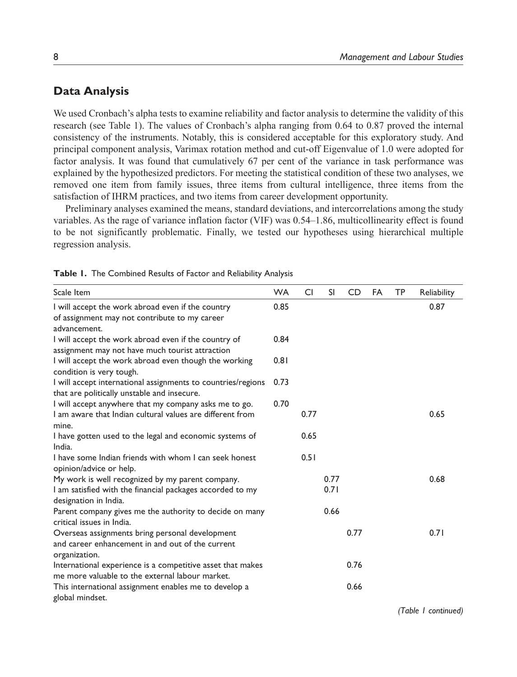# **Data Analysis**

We used Cronbach's alpha tests to examine reliability and factor analysis to determine the validity of this research (see Table 1). The values of Cronbach's alpha ranging from 0.64 to 0.87 proved the internal consistency of the instruments. Notably, this is considered acceptable for this exploratory study. And principal component analysis, Varimax rotation method and cut-off Eigenvalue of 1.0 were adopted for factor analysis. It was found that cumulatively 67 per cent of the variance in task performance was explained by the hypothesized predictors. For meeting the statistical condition of these two analyses, we removed one item from family issues, three items from cultural intelligence, three items from the satisfaction of IHRM practices, and two items from career development opportunity.

Preliminary analyses examined the means, standard deviations, and intercorrelations among the study variables. As the rage of variance inflation factor (VIF) was 0.54–1.86, multicollinearity effect is found to be not significantly problematic. Finally, we tested our hypotheses using hierarchical multiple regression analysis.

| Scale Item                                                                                                         | <b>WA</b> | CI   | <b>SI</b> | <b>CD</b> | FA | <b>TP</b> | Reliability |
|--------------------------------------------------------------------------------------------------------------------|-----------|------|-----------|-----------|----|-----------|-------------|
| I will accept the work abroad even if the country<br>of assignment may not contribute to my career<br>advancement. | 0.85      |      |           |           |    |           | 0.87        |
| I will accept the work abroad even if the country of<br>assignment may not have much tourist attraction            | 0.84      |      |           |           |    |           |             |
| I will accept the work abroad even though the working<br>condition is very tough.                                  | 0.81      |      |           |           |    |           |             |
| I will accept international assignments to countries/regions<br>that are politically unstable and insecure.        | 0.73      |      |           |           |    |           |             |
| I will accept anywhere that my company asks me to go.                                                              | 0.70      |      |           |           |    |           |             |
| I am aware that Indian cultural values are different from<br>mine.                                                 |           | 0.77 |           |           |    |           | 0.65        |
| I have gotten used to the legal and economic systems of<br>India.                                                  |           | 0.65 |           |           |    |           |             |
| I have some Indian friends with whom I can seek honest<br>opinion/advice or help.                                  |           | 0.51 |           |           |    |           |             |
| My work is well recognized by my parent company.                                                                   |           |      | 0.77      |           |    |           | 0.68        |
| I am satisfied with the financial packages accorded to my<br>designation in India.                                 |           |      | 0.71      |           |    |           |             |
| Parent company gives me the authority to decide on many<br>critical issues in India.                               |           |      | 0.66      |           |    |           |             |
| Overseas assignments bring personal development                                                                    |           |      |           | 0.77      |    |           | 0.71        |
| and career enhancement in and out of the current<br>organization.                                                  |           |      |           |           |    |           |             |
| International experience is a competitive asset that makes<br>me more valuable to the external labour market.      |           |      |           | 0.76      |    |           |             |
| This international assignment enables me to develop a<br>global mindset.                                           |           |      |           | 0.66      |    |           |             |

**Table 1.** The Combined Results of Factor and Reliability Analysis

*(Table 1 continued)*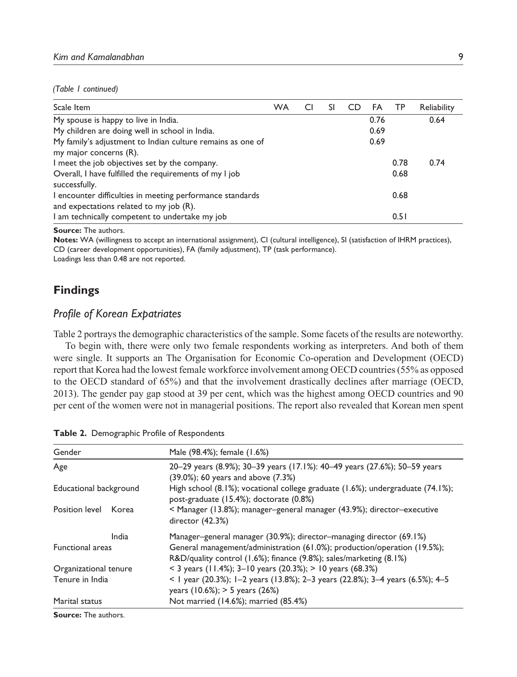#### *(Table 1 continued)*

| Scale Item                                                 | <b>WA</b> | C | SI | CD | FA   | - TP | Reliability |
|------------------------------------------------------------|-----------|---|----|----|------|------|-------------|
| My spouse is happy to live in India.                       |           |   |    |    | 0.76 |      | 0.64        |
| My children are doing well in school in India.             |           |   |    |    | 0.69 |      |             |
| My family's adjustment to Indian culture remains as one of |           |   |    |    | 0.69 |      |             |
| my major concerns (R).                                     |           |   |    |    |      |      |             |
| I meet the job objectives set by the company.              |           |   |    |    |      | 0.78 | 0.74        |
| Overall, I have fulfilled the requirements of my I job     |           |   |    |    |      | 0.68 |             |
| successfully.                                              |           |   |    |    |      |      |             |
| I encounter difficulties in meeting performance standards  |           |   |    |    |      | 0.68 |             |
| and expectations related to my job (R).                    |           |   |    |    |      |      |             |
| I am technically competent to undertake my job             |           |   |    |    |      | 0.51 |             |

**Source:** The authors.

**Notes:** WA (willingness to accept an international assignment), CI (cultural intelligence), SI (satisfaction of IHRM practices), CD (career development opportunities), FA (family adjustment), TP (task performance).

Loadings less than 0.48 are not reported.

# **Findings**

## *Profile of Korean Expatriates*

Table 2 portrays the demographic characteristics of the sample. Some facets of the results are noteworthy.

To begin with, there were only two female respondents working as interpreters. And both of them were single. It supports an The Organisation for Economic Co-operation and Development (OECD) report that Korea had the lowest female workforce involvement among OECD countries (55% as opposed to the OECD standard of 65%) and that the involvement drastically declines after marriage (OECD, 2013). The gender pay gap stood at 39 per cent, which was the highest among OECD countries and 90 per cent of the women were not in managerial positions. The report also revealed that Korean men spent

| Gender                  | Male (98.4%); female (1.6%)                                                                                                                    |
|-------------------------|------------------------------------------------------------------------------------------------------------------------------------------------|
| Age                     | 20-29 years (8.9%); 30-39 years (17.1%): 40-49 years (27.6%); 50-59 years<br>(39.0%); 60 years and above (7.3%)                                |
| Educational background  | High school $(8.1\%)$ ; vocational college graduate $(1.6\%)$ ; undergraduate $(74.1\%)$ ;<br>post-graduate (15.4%); doctorate (0.8%)          |
| Position level<br>Korea | < Manager (13.8%); manager-general manager (43.9%); director-executive<br>director $(42.3%)$                                                   |
| India                   | Manager–general manager (30.9%); director–managing director (69.1%)                                                                            |
| <b>Functional areas</b> | General management/administration (61.0%); production/operation (19.5%);<br>R&D/quality control (1.6%); finance (9.8%); sales/marketing (8.1%) |
| Organizational tenure   | < 3 years (11.4%); 3-10 years (20.3%); > 10 years (68.3%)                                                                                      |
| Tenure in India         | < 1 year (20.3%); 1-2 years (13.8%); 2-3 years (22.8%); 3-4 years (6.5%); 4-5<br>years (10.6%); > 5 years (26%)                                |
| Marital status          | Not married (14.6%); married (85.4%)                                                                                                           |
| Carmen The curbe in     |                                                                                                                                                |

**Table 2.** Demographic Profile of Respondents

**Source:** The authors.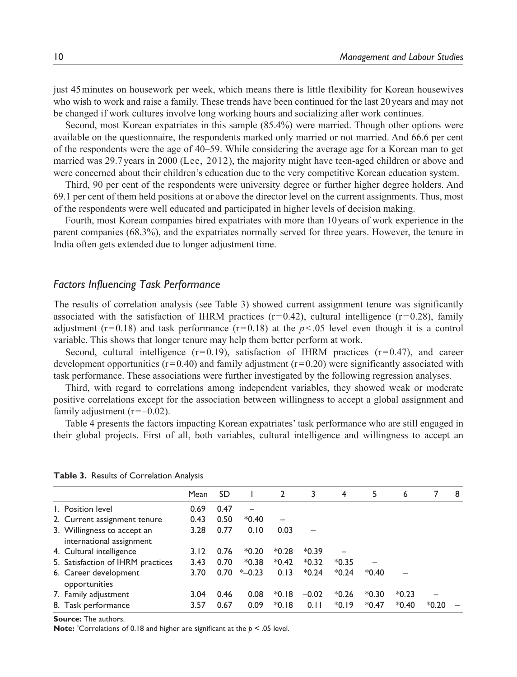just 45 minutes on housework per week, which means there is little flexibility for Korean housewives who wish to work and raise a family. These trends have been continued for the last 20 years and may not be changed if work cultures involve long working hours and socializing after work continues.

Second, most Korean expatriates in this sample (85.4%) were married. Though other options were available on the questionnaire, the respondents marked only married or not married. And 66.6 per cent of the respondents were the age of 40–59. While considering the average age for a Korean man to get married was 29.7 years in 2000 (Lee, 2012), the majority might have teen-aged children or above and were concerned about their children's education due to the very competitive Korean education system.

Third, 90 per cent of the respondents were university degree or further higher degree holders. And 69.1 per cent of them held positions at or above the director level on the current assignments. Thus, most of the respondents were well educated and participated in higher levels of decision making.

Fourth, most Korean companies hired expatriates with more than 10 years of work experience in the parent companies (68.3%), and the expatriates normally served for three years. However, the tenure in India often gets extended due to longer adjustment time.

# *Factors Influencing Task Performance*

The results of correlation analysis (see Table 3) showed current assignment tenure was significantly associated with the satisfaction of IHRM practices  $(r=0.42)$ , cultural intelligence  $(r=0.28)$ , family adjustment ( $r = 0.18$ ) and task performance ( $r = 0.18$ ) at the  $p < .05$  level even though it is a control variable. This shows that longer tenure may help them better perform at work.

Second, cultural intelligence  $(r=0.19)$ , satisfaction of IHRM practices  $(r=0.47)$ , and career development opportunities ( $r = 0.40$ ) and family adjustment ( $r = 0.20$ ) were significantly associated with task performance. These associations were further investigated by the following regression analyses.

Third, with regard to correlations among independent variables, they showed weak or moderate positive correlations except for the association between willingness to accept a global assignment and family adjustment  $(r = -0.02)$ .

Table 4 presents the factors impacting Korean expatriates' task performance who are still engaged in their global projects. First of all, both variables, cultural intelligence and willingness to accept an

|                                                         | Mean | SD.  |           | $\overline{2}$           | 3       | 4       | 5       | 6       |         | 8 |
|---------------------------------------------------------|------|------|-----------|--------------------------|---------|---------|---------|---------|---------|---|
| L. Position level                                       | 0.69 | 0.47 |           |                          |         |         |         |         |         |   |
| 2. Current assignment tenure                            | 0.43 | 0.50 | $*0.40$   | $\overline{\phantom{0}}$ |         |         |         |         |         |   |
| 3. Willingness to accept an<br>international assignment | 3.28 | 0.77 | 0.10      | 0.03                     |         |         |         |         |         |   |
| 4. Cultural intelligence                                | 3.12 | 0.76 | $*0.20$   | $*0.28$                  | $*0.39$ |         |         |         |         |   |
| 5. Satisfaction of IHRM practices                       | 3.43 | 0.70 | $*0.38$   | $*0.42$                  | $*0.32$ | $*0.35$ |         |         |         |   |
| 6. Career development<br>opportunities                  | 3.70 | 0.70 | $*$ -0.23 | 0.13                     | $*0.24$ | $*0.24$ | $*0.40$ |         |         |   |
| 7. Family adjustment                                    | 3.04 | 0.46 | 0.08      | $*0.18$                  | $-0.02$ | $*0.26$ | $*0.30$ | $*0.23$ |         |   |
| 8. Task performance                                     | 3.57 | 0.67 | 0.09      | $*0.18$                  | 0.11    | $*0.19$ | $*0.47$ | $*0.40$ | $*0.20$ |   |

| Table 3. Results of Correlation Analysis |  |  |  |  |  |  |
|------------------------------------------|--|--|--|--|--|--|
|------------------------------------------|--|--|--|--|--|--|

**Source:** The authors.

**Note:** \*Correlations of 0.18 and higher are significant at the *p* < .05 level.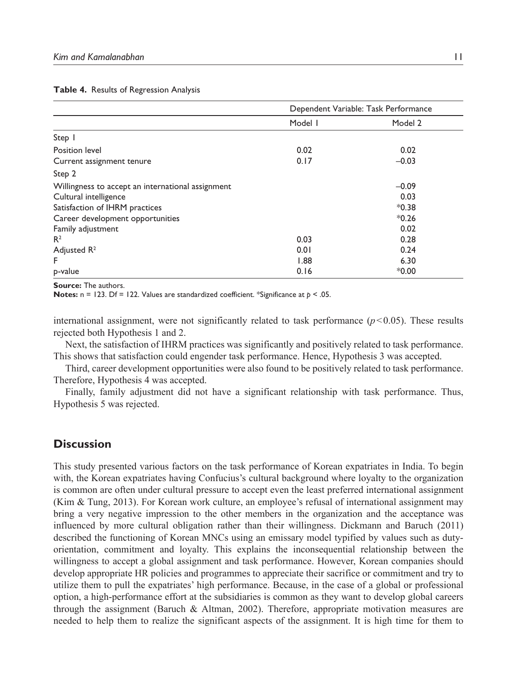|                                                   | Dependent Variable: Task Performance |         |  |
|---------------------------------------------------|--------------------------------------|---------|--|
|                                                   | Model I                              | Model 2 |  |
| Step 1                                            |                                      |         |  |
| Position level                                    | 0.02                                 | 0.02    |  |
| Current assignment tenure                         | 0.17                                 | $-0.03$ |  |
| Step 2                                            |                                      |         |  |
| Willingness to accept an international assignment |                                      | $-0.09$ |  |
| Cultural intelligence                             |                                      | 0.03    |  |
| Satisfaction of IHRM practices                    |                                      | $*0.38$ |  |
| Career development opportunities                  |                                      | $*0.26$ |  |
| Family adjustment                                 |                                      | 0.02    |  |
| R <sup>2</sup>                                    | 0.03                                 | 0.28    |  |
| Adjusted $R^2$                                    | 0.01                                 | 0.24    |  |
| F                                                 | 1.88                                 | 6.30    |  |
| p-value                                           | 0.16                                 | $*0.00$ |  |

#### **Table 4.** Results of Regression Analysis

**Source:** The authors.

**Notes:** n = 123. Df = 122. Values are standardized coefficient. \*Significance at *p* < .05.

international assignment, were not significantly related to task performance  $(p<0.05)$ . These results rejected both Hypothesis 1 and 2.

Next, the satisfaction of IHRM practices was significantly and positively related to task performance. This shows that satisfaction could engender task performance. Hence, Hypothesis 3 was accepted.

Third, career development opportunities were also found to be positively related to task performance. Therefore, Hypothesis 4 was accepted.

Finally, family adjustment did not have a significant relationship with task performance. Thus, Hypothesis 5 was rejected.

# **Discussion**

This study presented various factors on the task performance of Korean expatriates in India. To begin with, the Korean expatriates having Confucius's cultural background where loyalty to the organization is common are often under cultural pressure to accept even the least preferred international assignment (Kim & Tung, 2013). For Korean work culture, an employee's refusal of international assignment may bring a very negative impression to the other members in the organization and the acceptance was influenced by more cultural obligation rather than their willingness. Dickmann and Baruch (2011) described the functioning of Korean MNCs using an emissary model typified by values such as dutyorientation, commitment and loyalty. This explains the inconsequential relationship between the willingness to accept a global assignment and task performance. However, Korean companies should develop appropriate HR policies and programmes to appreciate their sacrifice or commitment and try to utilize them to pull the expatriates' high performance. Because, in the case of a global or professional option, a high-performance effort at the subsidiaries is common as they want to develop global careers through the assignment (Baruch & Altman, 2002). Therefore, appropriate motivation measures are needed to help them to realize the significant aspects of the assignment. It is high time for them to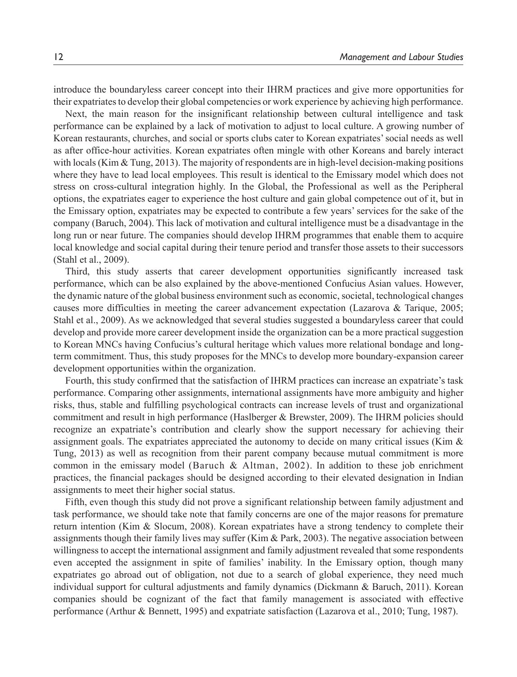introduce the boundaryless career concept into their IHRM practices and give more opportunities for their expatriates to develop their global competencies or work experience by achieving high performance.

Next, the main reason for the insignificant relationship between cultural intelligence and task performance can be explained by a lack of motivation to adjust to local culture. A growing number of Korean restaurants, churches, and social or sports clubs cater to Korean expatriates' social needs as well as after office-hour activities. Korean expatriates often mingle with other Koreans and barely interact with locals (Kim & Tung, 2013). The majority of respondents are in high-level decision-making positions where they have to lead local employees. This result is identical to the Emissary model which does not stress on cross-cultural integration highly. In the Global, the Professional as well as the Peripheral options, the expatriates eager to experience the host culture and gain global competence out of it, but in the Emissary option, expatriates may be expected to contribute a few years' services for the sake of the company (Baruch, 2004). This lack of motivation and cultural intelligence must be a disadvantage in the long run or near future. The companies should develop IHRM programmes that enable them to acquire local knowledge and social capital during their tenure period and transfer those assets to their successors (Stahl et al., 2009).

Third, this study asserts that career development opportunities significantly increased task performance, which can be also explained by the above-mentioned Confucius Asian values. However, the dynamic nature of the global business environment such as economic, societal, technological changes causes more difficulties in meeting the career advancement expectation (Lazarova & Tarique, 2005; Stahl et al., 2009). As we acknowledged that several studies suggested a boundaryless career that could develop and provide more career development inside the organization can be a more practical suggestion to Korean MNCs having Confucius's cultural heritage which values more relational bondage and longterm commitment. Thus, this study proposes for the MNCs to develop more boundary-expansion career development opportunities within the organization.

Fourth, this study confirmed that the satisfaction of IHRM practices can increase an expatriate's task performance. Comparing other assignments, international assignments have more ambiguity and higher risks, thus, stable and fulfilling psychological contracts can increase levels of trust and organizational commitment and result in high performance (Haslberger & Brewster, 2009). The IHRM policies should recognize an expatriate's contribution and clearly show the support necessary for achieving their assignment goals. The expatriates appreciated the autonomy to decide on many critical issues (Kim  $\&$ Tung, 2013) as well as recognition from their parent company because mutual commitment is more common in the emissary model (Baruch & Altman, 2002). In addition to these job enrichment practices, the financial packages should be designed according to their elevated designation in Indian assignments to meet their higher social status.

Fifth, even though this study did not prove a significant relationship between family adjustment and task performance, we should take note that family concerns are one of the major reasons for premature return intention (Kim & Slocum, 2008). Korean expatriates have a strong tendency to complete their assignments though their family lives may suffer (Kim & Park, 2003). The negative association between willingness to accept the international assignment and family adjustment revealed that some respondents even accepted the assignment in spite of families' inability. In the Emissary option, though many expatriates go abroad out of obligation, not due to a search of global experience, they need much individual support for cultural adjustments and family dynamics (Dickmann & Baruch, 2011). Korean companies should be cognizant of the fact that family management is associated with effective performance (Arthur & Bennett, 1995) and expatriate satisfaction (Lazarova et al., 2010; Tung, 1987).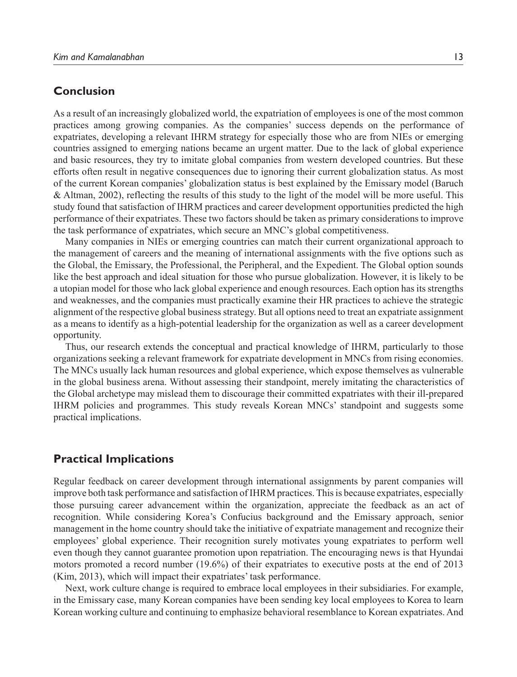# **Conclusion**

As a result of an increasingly globalized world, the expatriation of employees is one of the most common practices among growing companies. As the companies' success depends on the performance of expatriates, developing a relevant IHRM strategy for especially those who are from NIEs or emerging countries assigned to emerging nations became an urgent matter. Due to the lack of global experience and basic resources, they try to imitate global companies from western developed countries. But these efforts often result in negative consequences due to ignoring their current globalization status. As most of the current Korean companies' globalization status is best explained by the Emissary model (Baruch & Altman, 2002), reflecting the results of this study to the light of the model will be more useful. This study found that satisfaction of IHRM practices and career development opportunities predicted the high performance of their expatriates. These two factors should be taken as primary considerations to improve the task performance of expatriates, which secure an MNC's global competitiveness.

Many companies in NIEs or emerging countries can match their current organizational approach to the management of careers and the meaning of international assignments with the five options such as the Global, the Emissary, the Professional, the Peripheral, and the Expedient. The Global option sounds like the best approach and ideal situation for those who pursue globalization. However, it is likely to be a utopian model for those who lack global experience and enough resources. Each option has its strengths and weaknesses, and the companies must practically examine their HR practices to achieve the strategic alignment of the respective global business strategy. But all options need to treat an expatriate assignment as a means to identify as a high-potential leadership for the organization as well as a career development opportunity.

Thus, our research extends the conceptual and practical knowledge of IHRM, particularly to those organizations seeking a relevant framework for expatriate development in MNCs from rising economies. The MNCs usually lack human resources and global experience, which expose themselves as vulnerable in the global business arena. Without assessing their standpoint, merely imitating the characteristics of the Global archetype may mislead them to discourage their committed expatriates with their ill-prepared IHRM policies and programmes. This study reveals Korean MNCs' standpoint and suggests some practical implications.

# **Practical Implications**

Regular feedback on career development through international assignments by parent companies will improve both task performance and satisfaction of IHRM practices. This is because expatriates, especially those pursuing career advancement within the organization, appreciate the feedback as an act of recognition. While considering Korea's Confucius background and the Emissary approach, senior management in the home country should take the initiative of expatriate management and recognize their employees' global experience. Their recognition surely motivates young expatriates to perform well even though they cannot guarantee promotion upon repatriation. The encouraging news is that Hyundai motors promoted a record number (19.6%) of their expatriates to executive posts at the end of 2013 (Kim, 2013), which will impact their expatriates' task performance.

Next, work culture change is required to embrace local employees in their subsidiaries. For example, in the Emissary case, many Korean companies have been sending key local employees to Korea to learn Korean working culture and continuing to emphasize behavioral resemblance to Korean expatriates. And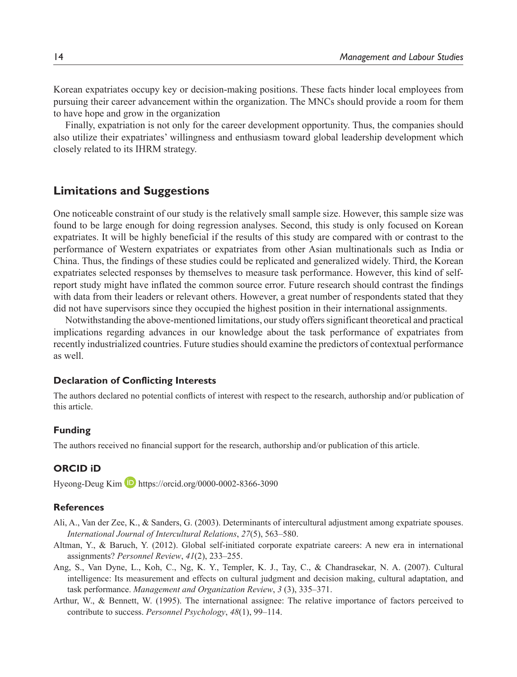Korean expatriates occupy key or decision-making positions. These facts hinder local employees from pursuing their career advancement within the organization. The MNCs should provide a room for them to have hope and grow in the organization

Finally, expatriation is not only for the career development opportunity. Thus, the companies should also utilize their expatriates' willingness and enthusiasm toward global leadership development which closely related to its IHRM strategy.

# **Limitations and Suggestions**

One noticeable constraint of our study is the relatively small sample size. However, this sample size was found to be large enough for doing regression analyses. Second, this study is only focused on Korean expatriates. It will be highly beneficial if the results of this study are compared with or contrast to the performance of Western expatriates or expatriates from other Asian multinationals such as India or China. Thus, the findings of these studies could be replicated and generalized widely. Third, the Korean expatriates selected responses by themselves to measure task performance. However, this kind of selfreport study might have inflated the common source error. Future research should contrast the findings with data from their leaders or relevant others. However, a great number of respondents stated that they did not have supervisors since they occupied the highest position in their international assignments.

Notwithstanding the above-mentioned limitations, our study offers significant theoretical and practical implications regarding advances in our knowledge about the task performance of expatriates from recently industrialized countries. Future studies should examine the predictors of contextual performance as well.

#### **Declaration of Conflicting Interests**

The authors declared no potential conflicts of interest with respect to the research, authorship and/or publication of this article.

#### **Funding**

The authors received no financial support for the research, authorship and/or publication of this article.

### **ORCID iD**

Hyeong-Deug Kim  $\Box$  https://orcid.org/0000-0002-8366-3090

#### **References**

- Ali, A., Van der Zee, K., & Sanders, G. (2003). Determinants of intercultural adjustment among expatriate spouses. *International Journal of Intercultural Relations*, *27*(5), 563–580.
- Altman, Y., & Baruch, Y. (2012). Global self-initiated corporate expatriate careers: A new era in international assignments? *Personnel Review*, *41*(2), 233–255.
- Ang, S., Van Dyne, L., Koh, C., Ng, K. Y., Templer, K. J., Tay, C., & Chandrasekar, N. A. (2007). Cultural intelligence: Its measurement and effects on cultural judgment and decision making, cultural adaptation, and task performance. *Management and Organization Review*, *3* (3), 335–371.
- Arthur, W., & Bennett, W. (1995). The international assignee: The relative importance of factors perceived to contribute to success. *Personnel Psychology*, *48*(1), 99–114.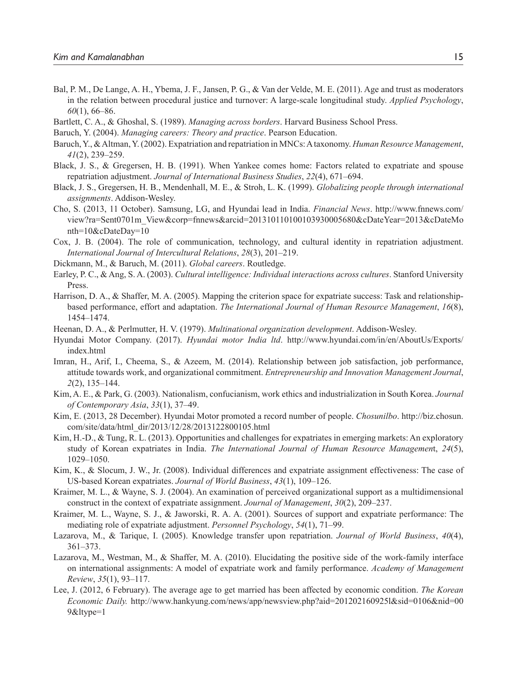- Bal, P. M., De Lange, A. H., Ybema, J. F., Jansen, P. G., & Van der Velde, M. E. (2011). Age and trust as moderators in the relation between procedural justice and turnover: A large-scale longitudinal study. *Applied Psychology*, *60*(1), 66–86.
- Bartlett, C. A., & Ghoshal, S. (1989). *Managing across borders*. Harvard Business School Press.
- Baruch, Y. (2004). *Managing careers: Theory and practice*. Pearson Education.
- Baruch, Y., & Altman, Y. (2002). Expatriation and repatriation in MNCs: A taxonomy. *Human Resource Management*, *41*(2), 239–259.
- Black, J. S., & Gregersen, H. B. (1991). When Yankee comes home: Factors related to expatriate and spouse repatriation adjustment. *Journal of International Business Studies*, *22*(4), 671–694.
- Black, J. S., Gregersen, H. B., Mendenhall, M. E., & Stroh, L. K. (1999). *Globalizing people through international assignments*. Addison-Wesley.
- Cho, S. (2013, 11 October). Samsung, LG, and Hyundai lead in India. *Financial News*. http://www.fnnews.com/ view?ra=Sent0701m\_View&corp=fnnews&arcid=201310110100103930005680&cDateYear=2013&cDateMo nth=10&cDateDay=10
- Cox, J. B. (2004). The role of communication, technology, and cultural identity in repatriation adjustment. *International Journal of Intercultural Relations*, *28*(3), 201–219.
- Dickmann, M., & Baruch, M. (2011). *Global careers*. Routledge.
- Earley, P. C., & Ang, S. A. (2003). *Cultural intelligence: Individual interactions across cultures*. Stanford University Press.
- Harrison, D. A., & Shaffer, M. A. (2005). Mapping the criterion space for expatriate success: Task and relationshipbased performance, effort and adaptation. *The International Journal of Human Resource Management*, *16*(8), 1454–1474.
- Heenan, D. A., & Perlmutter, H. V. (1979). *Multinational organization development*. Addison-Wesley.
- Hyundai Motor Company. (2017). *Hyundai motor India ltd*. http://www.hyundai.com/in/en/AboutUs/Exports/ index.html
- Imran, H., Arif, I., Cheema, S., & Azeem, M. (2014). Relationship between job satisfaction, job performance, attitude towards work, and organizational commitment. *Entrepreneurship and Innovation Management Journal*, *2*(2), 135–144.
- Kim, A. E., & Park, G. (2003). Nationalism, confucianism, work ethics and industrialization in South Korea. *Journal of Contemporary Asia*, *33*(1), 37–49.
- Kim, E. (2013, 28 December). Hyundai Motor promoted a record number of people. *Chosunilbo*. http://biz.chosun. com/site/data/html\_dir/2013/12/28/2013122800105.html
- Kim, H.-D., & Tung, R. L. (2013). Opportunities and challenges for expatriates in emerging markets: An exploratory study of Korean expatriates in India. *The International Journal of Human Resource Managemen*t, *24*(5), 1029–1050.
- Kim, K., & Slocum, J. W., Jr. (2008). Individual differences and expatriate assignment effectiveness: The case of US-based Korean expatriates. *Journal of World Business*, *43*(1), 109–126.
- Kraimer, M. L., & Wayne, S. J. (2004). An examination of perceived organizational support as a multidimensional construct in the context of expatriate assignment. *Journal of Management*, *30*(2), 209–237.
- Kraimer, M. L., Wayne, S. J., & Jaworski, R. A. A. (2001). Sources of support and expatriate performance: The mediating role of expatriate adjustment. *Personnel Psychology*, *54*(1), 71–99.
- Lazarova, M., & Tarique, I. (2005). Knowledge transfer upon repatriation. *Journal of World Business*, *40*(4), 361–373.
- Lazarova, M., Westman, M., & Shaffer, M. A. (2010). Elucidating the positive side of the work-family interface on international assignments: A model of expatriate work and family performance. *Academy of Management Review*, *35*(1), 93–117.
- Lee, J. (2012, 6 February). The average age to get married has been affected by economic condition. *The Korean Economic Daily.* http://www.hankyung.com/news/app/newsview.php?aid=201202160925l&sid=0106&nid=00  $9&$ ltype=1